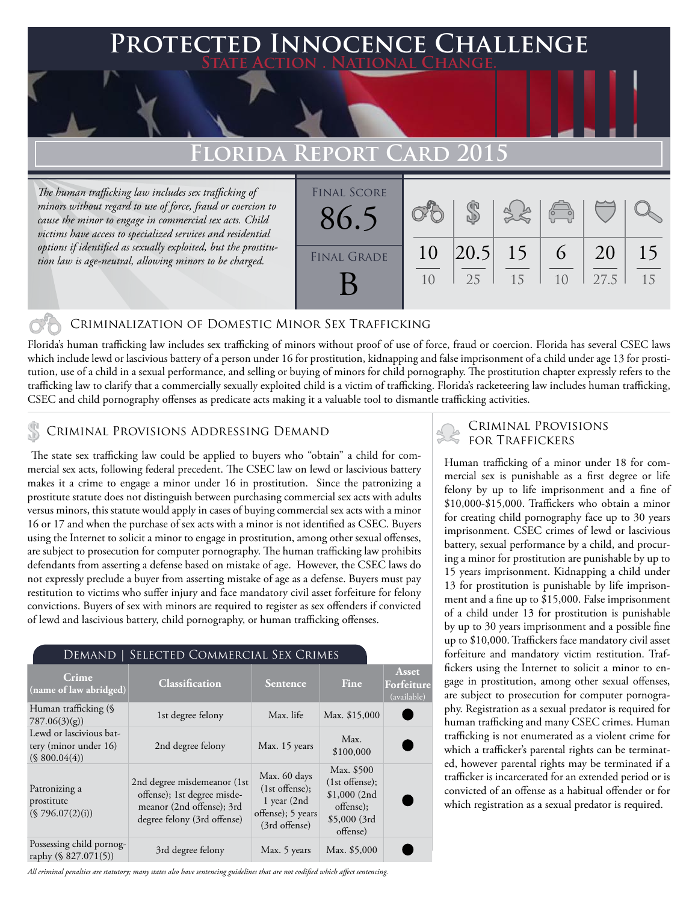### **FED INNOCENCE CHALLENGE State Action . National Change.**

## **Florida Report Card 2015**

*The human trafficking law includes sex trafficking of minors without regard to use of force, fraud or coercion to cause the minor to engage in commercial sex acts. Child victims have access to specialized services and residential options if identified as sexually exploited, but the prostitution law is age-neutral, allowing minors to be charged.*



#### Criminalization of Domestic Minor Sex Trafficking

Florida's human trafficking law includes sex trafficking of minors without proof of use of force, fraud or coercion. Florida has several CSEC laws which include lewd or lascivious battery of a person under 16 for prostitution, kidnapping and false imprisonment of a child under age 13 for prostitution, use of a child in a sexual performance, and selling or buying of minors for child pornography. The prostitution chapter expressly refers to the trafficking law to clarify that a commercially sexually exploited child is a victim of trafficking. Florida's racketeering law includes human trafficking, CSEC and child pornography offenses as predicate acts making it a valuable tool to dismantle trafficking activities.

#### CRIMINAL PROVISIONS ADDRESSING DEMAND

 The state sex trafficking law could be applied to buyers who "obtain" a child for commercial sex acts, following federal precedent. The CSEC law on lewd or lascivious battery makes it a crime to engage a minor under 16 in prostitution. Since the patronizing a prostitute statute does not distinguish between purchasing commercial sex acts with adults versus minors, this statute would apply in cases of buying commercial sex acts with a minor 16 or 17 and when the purchase of sex acts with a minor is not identified as CSEC. Buyers using the Internet to solicit a minor to engage in prostitution, among other sexual offenses, are subject to prosecution for computer pornography. The human trafficking law prohibits defendants from asserting a defense based on mistake of age. However, the CSEC laws do not expressly preclude a buyer from asserting mistake of age as a defense. Buyers must pay restitution to victims who suffer injury and face mandatory civil asset forfeiture for felony convictions. Buyers of sex with minors are required to register as sex offenders if convicted of lewd and lascivious battery, child pornography, or human trafficking offenses.

#### Demand | Selected Commercial Sex Crimes

| Crime<br>(name of law abridged)                                   | <b>Classification</b>                                                                                                  | <b>Sentence</b>                                                                           | Fine                                                                                    | Asset<br>Forfeiture<br>(available) |
|-------------------------------------------------------------------|------------------------------------------------------------------------------------------------------------------------|-------------------------------------------------------------------------------------------|-----------------------------------------------------------------------------------------|------------------------------------|
| Human trafficking (§<br>787.06(3)(g)                              | 1st degree felony                                                                                                      | Max. life                                                                                 | Max. \$15,000                                                                           |                                    |
| Lewd or lascivious bat-<br>tery (minor under 16)<br>(S 800.04(4)) | 2nd degree felony                                                                                                      | Max. 15 years                                                                             | Max.<br>\$100,000                                                                       |                                    |
| Patronizing a<br>prostitute<br>(\$796.07(2)(i))                   | 2nd degree misdemeanor (1st<br>offense); 1st degree misde-<br>meanor (2nd offense); 3rd<br>degree felony (3rd offense) | Max. 60 days<br>$(1st$ offense);<br>$1$ year $(2nd$<br>offense); 5 years<br>(3rd offense) | Max. \$500<br>$(1st$ offense);<br>\$1,000(2nd)<br>offense);<br>\$5,000 (3rd<br>offense) |                                    |
| Possessing child pornog-<br>raphy (§ 827.071(5))                  | 3rd degree felony                                                                                                      | Max. 5 years                                                                              | Max. \$5,000                                                                            |                                    |

*All criminal penalties are statutory; many states also have sentencing guidelines that are not codified which affect sentencing.* 

# Criminal Provisions

Human trafficking of a minor under 18 for commercial sex is punishable as a first degree or life felony by up to life imprisonment and a fine of \$10,000-\$15,000. Traffickers who obtain a minor for creating child pornography face up to 30 years imprisonment. CSEC crimes of lewd or lascivious battery, sexual performance by a child, and procuring a minor for prostitution are punishable by up to 15 years imprisonment. Kidnapping a child under 13 for prostitution is punishable by life imprisonment and a fine up to \$15,000. False imprisonment of a child under 13 for prostitution is punishable by up to 30 years imprisonment and a possible fine up to \$10,000. Traffickers face mandatory civil asset forfeiture and mandatory victim restitution. Traffickers using the Internet to solicit a minor to engage in prostitution, among other sexual offenses, are subject to prosecution for computer pornography. Registration as a sexual predator is required for human trafficking and many CSEC crimes. Human trafficking is not enumerated as a violent crime for which a trafficker's parental rights can be terminated, however parental rights may be terminated if a trafficker is incarcerated for an extended period or is convicted of an offense as a habitual offender or for which registration as a sexual predator is required.